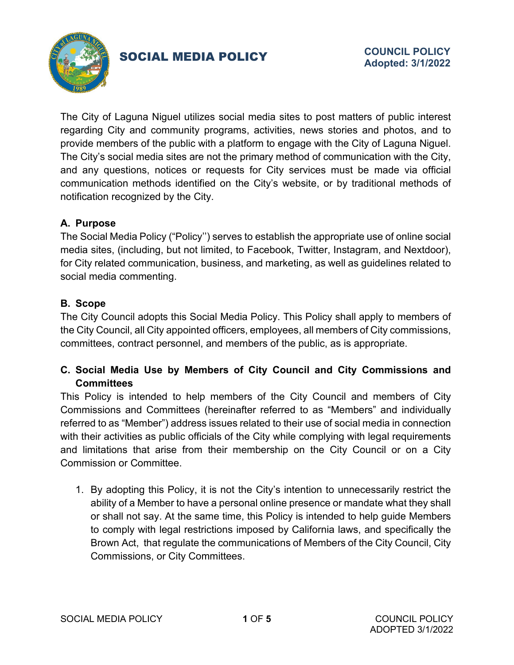

# SOCIAL MEDIA POLICY

The City of Laguna Niguel utilizes social media sites to post matters of public interest regarding City and community programs, activities, news stories and photos, and to provide members of the public with a platform to engage with the City of Laguna Niguel. The City's social media sites are not the primary method of communication with the City, and any questions, notices or requests for City services must be made via official communication methods identified on the City's website, or by traditional methods of notification recognized by the City.

## **A. Purpose**

The Social Media Policy ("Policy'') serves to establish the appropriate use of online social media sites, (including, but not limited, to Facebook, Twitter, Instagram, and Nextdoor), for City related communication, business, and marketing, as well as guidelines related to social media commenting.

### **B. Scope**

The City Council adopts this Social Media Policy. This Policy shall apply to members of the City Council, all City appointed officers, employees, all members of City commissions, committees, contract personnel, and members of the public, as is appropriate.

## **C. Social Media Use by Members of City Council and City Commissions and Committees**

This Policy is intended to help members of the City Council and members of City Commissions and Committees (hereinafter referred to as "Members" and individually referred to as "Member") address issues related to their use of social media in connection with their activities as public officials of the City while complying with legal requirements and limitations that arise from their membership on the City Council or on a City Commission or Committee.

1. By adopting this Policy, it is not the City's intention to unnecessarily restrict the ability of a Member to have a personal online presence or mandate what they shall or shall not say. At the same time, this Policy is intended to help guide Members to comply with legal restrictions imposed by California laws, and specifically the Brown Act, that regulate the communications of Members of the City Council, City Commissions, or City Committees.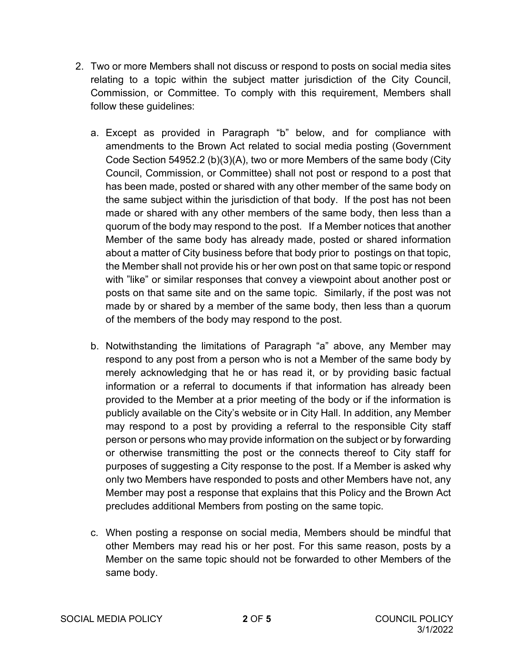- 2. Two or more Members shall not discuss or respond to posts on social media sites relating to a topic within the subject matter jurisdiction of the City Council, Commission, or Committee. To comply with this requirement, Members shall follow these guidelines:
	- a. Except as provided in Paragraph "b" below, and for compliance with amendments to the Brown Act related to social media posting (Government Code Section 54952.2 (b)(3)(A), two or more Members of the same body (City Council, Commission, or Committee) shall not post or respond to a post that has been made, posted or shared with any other member of the same body on the same subject within the jurisdiction of that body. If the post has not been made or shared with any other members of the same body, then less than a quorum of the body may respond to the post. If a Member notices that another Member of the same body has already made, posted or shared information about a matter of City business before that body prior to postings on that topic, the Member shall not provide his or her own post on that same topic or respond with "like" or similar responses that convey a viewpoint about another post or posts on that same site and on the same topic. Similarly, if the post was not made by or shared by a member of the same body, then less than a quorum of the members of the body may respond to the post.
	- b. Notwithstanding the limitations of Paragraph "a" above, any Member may respond to any post from a person who is not a Member of the same body by merely acknowledging that he or has read it, or by providing basic factual information or a referral to documents if that information has already been provided to the Member at a prior meeting of the body or if the information is publicly available on the City's website or in City Hall. In addition, any Member may respond to a post by providing a referral to the responsible City staff person or persons who may provide information on the subject or by forwarding or otherwise transmitting the post or the connects thereof to City staff for purposes of suggesting a City response to the post. If a Member is asked why only two Members have responded to posts and other Members have not, any Member may post a response that explains that this Policy and the Brown Act precludes additional Members from posting on the same topic.
	- c. When posting a response on social media, Members should be mindful that other Members may read his or her post. For this same reason, posts by a Member on the same topic should not be forwarded to other Members of the same body.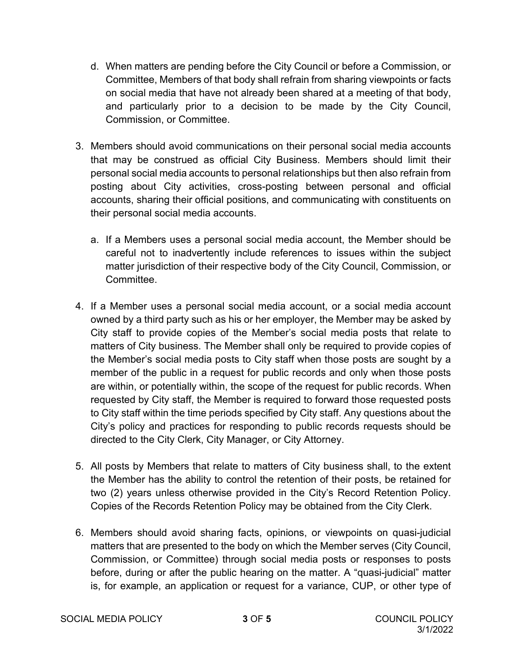- d. When matters are pending before the City Council or before a Commission, or Committee, Members of that body shall refrain from sharing viewpoints or facts on social media that have not already been shared at a meeting of that body, and particularly prior to a decision to be made by the City Council, Commission, or Committee.
- 3. Members should avoid communications on their personal social media accounts that may be construed as official City Business. Members should limit their personal social media accounts to personal relationships but then also refrain from posting about City activities, cross-posting between personal and official accounts, sharing their official positions, and communicating with constituents on their personal social media accounts.
	- a. If a Members uses a personal social media account, the Member should be careful not to inadvertently include references to issues within the subject matter jurisdiction of their respective body of the City Council, Commission, or Committee.
- 4. If a Member uses a personal social media account, or a social media account owned by a third party such as his or her employer, the Member may be asked by City staff to provide copies of the Member's social media posts that relate to matters of City business. The Member shall only be required to provide copies of the Member's social media posts to City staff when those posts are sought by a member of the public in a request for public records and only when those posts are within, or potentially within, the scope of the request for public records. When requested by City staff, the Member is required to forward those requested posts to City staff within the time periods specified by City staff. Any questions about the City's policy and practices for responding to public records requests should be directed to the City Clerk, City Manager, or City Attorney.
- 5. All posts by Members that relate to matters of City business shall, to the extent the Member has the ability to control the retention of their posts, be retained for two (2) years unless otherwise provided in the City's Record Retention Policy. Copies of the Records Retention Policy may be obtained from the City Clerk.
- 6. Members should avoid sharing facts, opinions, or viewpoints on quasi-judicial matters that are presented to the body on which the Member serves (City Council, Commission, or Committee) through social media posts or responses to posts before, during or after the public hearing on the matter. A "quasi-judicial" matter is, for example, an application or request for a variance, CUP, or other type of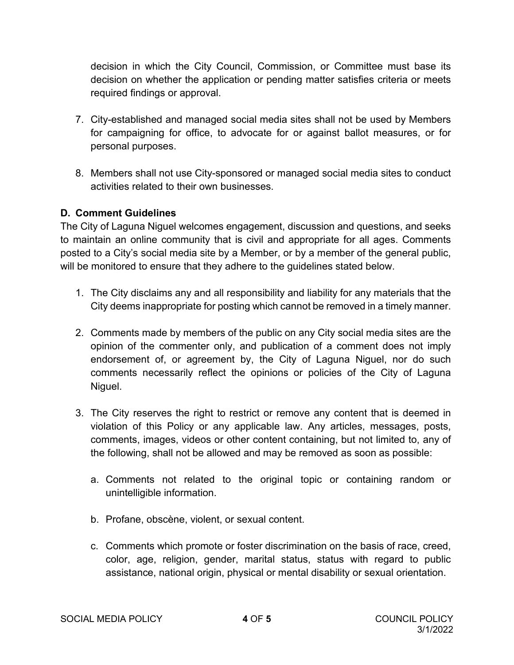decision in which the City Council, Commission, or Committee must base its decision on whether the application or pending matter satisfies criteria or meets required findings or approval.

- 7. City-established and managed social media sites shall not be used by Members for campaigning for office, to advocate for or against ballot measures, or for personal purposes.
- 8. Members shall not use City-sponsored or managed social media sites to conduct activities related to their own businesses.

#### **D. Comment Guidelines**

The City of Laguna Niguel welcomes engagement, discussion and questions, and seeks to maintain an online community that is civil and appropriate for all ages. Comments posted to a City's social media site by a Member, or by a member of the general public, will be monitored to ensure that they adhere to the guidelines stated below.

- 1. The City disclaims any and all responsibility and liability for any materials that the City deems inappropriate for posting which cannot be removed in a timely manner.
- 2. Comments made by members of the public on any City social media sites are the opinion of the commenter only, and publication of a comment does not imply endorsement of, or agreement by, the City of Laguna Niguel, nor do such comments necessarily reflect the opinions or policies of the City of Laguna Niguel.
- 3. The City reserves the right to restrict or remove any content that is deemed in violation of this Policy or any applicable law. Any articles, messages, posts, comments, images, videos or other content containing, but not limited to, any of the following, shall not be allowed and may be removed as soon as possible:
	- a. Comments not related to the original topic or containing random or unintelligible information.
	- b. Profane, obscène, violent, or sexual content.
	- c. Comments which promote or foster discrimination on the basis of race, creed, color, age, religion, gender, marital status, status with regard to public assistance, national origin, physical or mental disability or sexual orientation.